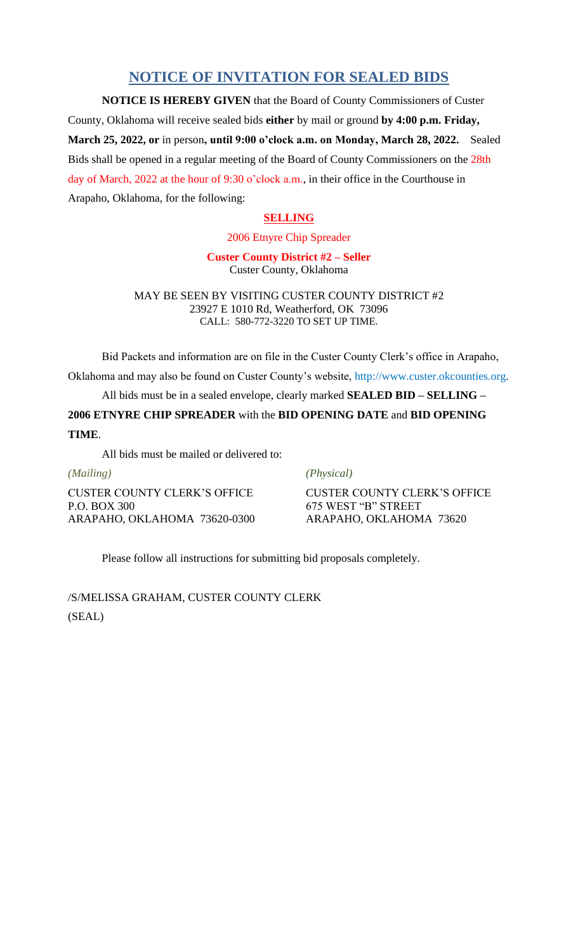# **NOTICE OF INVITATION FOR SEALED BIDS**

**NOTICE IS HEREBY GIVEN** that the Board of County Commissioners of Custer County, Oklahoma will receive sealed bids **either** by mail or ground **by 4:00 p.m. Friday, March 25, 2022, or** in person**, until 9:00 o'clock a.m. on Monday, March 28, 2022.** Sealed Bids shall be opened in a regular meeting of the Board of County Commissioners on the 28th day of March, 2022 at the hour of 9:30 o'clock a.m., in their office in the Courthouse in Arapaho, Oklahoma, for the following:

## **SELLING**

#### 2006 Etnyre Chip Spreader

#### **Custer County District #2 – Seller** Custer County, Oklahoma

#### MAY BE SEEN BY VISITING CUSTER COUNTY DISTRICT #2 23927 E 1010 Rd, Weatherford, OK 73096 CALL: 580-772-3220 TO SET UP TIME.

Bid Packets and information are on file in the Custer County Clerk's office in Arapaho, Oklahoma and may also be found on Custer County's website, http://www.custer.okcounties.org. All bids must be in a sealed envelope, clearly marked **SEALED BID – SELLING –**

# **2006 ETNYRE CHIP SPREADER** with the **BID OPENING DATE** and **BID OPENING TIME**.

All bids must be mailed or delivered to:

| (Mailing)                                                                    | <i>(Physical)</i>                                                              |
|------------------------------------------------------------------------------|--------------------------------------------------------------------------------|
| CUSTER COUNTY CLERK'S OFFICE<br>P.O. BOX 300<br>ARAPAHO, OKLAHOMA 73620-0300 | CUSTER COUNTY CLERK'S OFFICE<br>675 WEST "B" STREET<br>ARAPAHO, OKLAHOMA 73620 |
|                                                                              |                                                                                |

Please follow all instructions for submitting bid proposals completely.

/S/MELISSA GRAHAM, CUSTER COUNTY CLERK (SEAL)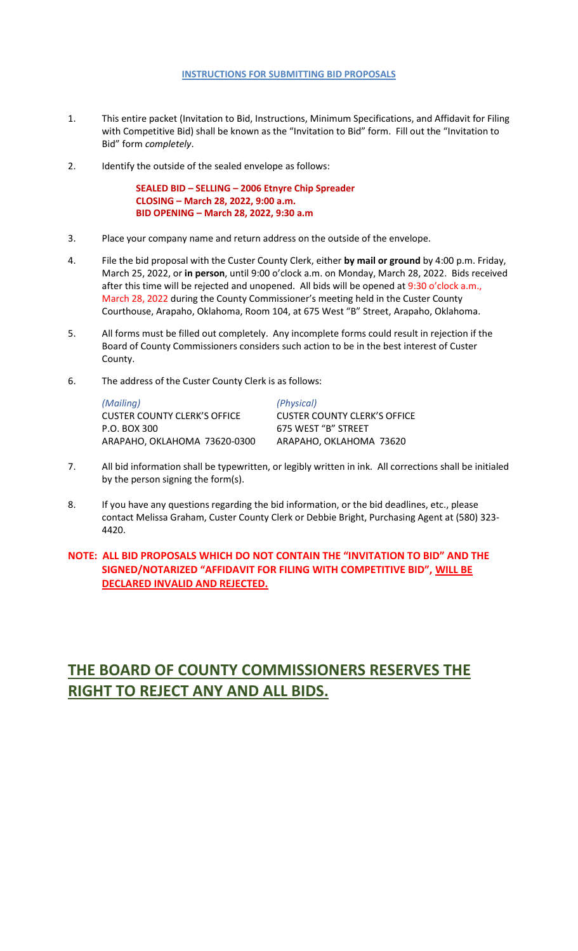#### **INSTRUCTIONS FOR SUBMITTING BID PROPOSALS**

- 1. This entire packet (Invitation to Bid, Instructions, Minimum Specifications, and Affidavit for Filing with Competitive Bid) shall be known as the "Invitation to Bid" form. Fill out the "Invitation to Bid" form *completely*.
- 2. Identify the outside of the sealed envelope as follows:

**SEALED BID – SELLING – 2006 Etnyre Chip Spreader CLOSING – March 28, 2022, 9:00 a.m. BID OPENING – March 28, 2022, 9:30 a.m**

- 3. Place your company name and return address on the outside of the envelope.
- 4. File the bid proposal with the Custer County Clerk, either **by mail or ground** by 4:00 p.m. Friday, March 25, 2022, or **in person**, until 9:00 o'clock a.m. on Monday, March 28, 2022. Bids received after this time will be rejected and unopened. All bids will be opened at 9:30 o'clock a.m., March 28, 2022 during the County Commissioner's meeting held in the Custer County Courthouse, Arapaho, Oklahoma, Room 104, at 675 West "B" Street, Arapaho, Oklahoma.
- 5. All forms must be filled out completely. Any incomplete forms could result in rejection if the Board of County Commissioners considers such action to be in the best interest of Custer County.
- 6. The address of the Custer County Clerk is as follows:

*(Mailing) (Physical)* CUSTER COUNTY CLERK'S OFFICE CUSTER COUNTY CLERK'S OFFICE P.O. BOX 300 675 WEST "B" STREET ARAPAHO, OKLAHOMA 73620-0300 ARAPAHO, OKLAHOMA 73620

- 7. All bid information shall be typewritten, or legibly written in ink. All corrections shall be initialed by the person signing the form(s).
- 8. If you have any questions regarding the bid information, or the bid deadlines, etc., please contact Melissa Graham, Custer County Clerk or Debbie Bright, Purchasing Agent at (580) 323- 4420.

### **NOTE: ALL BID PROPOSALS WHICH DO NOT CONTAIN THE "INVITATION TO BID" AND THE SIGNED/NOTARIZED "AFFIDAVIT FOR FILING WITH COMPETITIVE BID", WILL BE DECLARED INVALID AND REJECTED.**

# **THE BOARD OF COUNTY COMMISSIONERS RESERVES THE RIGHT TO REJECT ANY AND ALL BIDS.**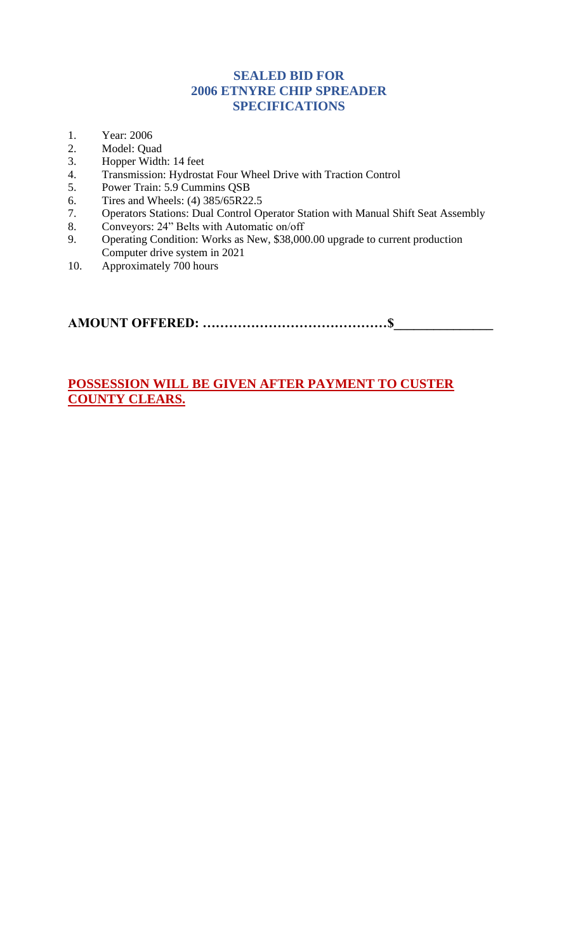## **SEALED BID FOR 2006 ETNYRE CHIP SPREADER SPECIFICATIONS**

- 1. Year: 2006
- 2. Model: Quad
- 3. Hopper Width: 14 feet
- 4. Transmission: Hydrostat Four Wheel Drive with Traction Control
- 5. Power Train: 5.9 Cummins QSB
- 6. Tires and Wheels: (4) 385/65R22.5
- 7. Operators Stations: Dual Control Operator Station with Manual Shift Seat Assembly
- 8. Conveyors: 24" Belts with Automatic on/off
- 9. Operating Condition: Works as New, \$38,000.00 upgrade to current production Computer drive system in 2021
- 10. Approximately 700 hours

**AMOUNT OFFERED: ……………………………………\$\_\_\_\_\_\_\_\_\_\_\_\_\_\_\_** 

# **POSSESSION WILL BE GIVEN AFTER PAYMENT TO CUSTER COUNTY CLEARS.**